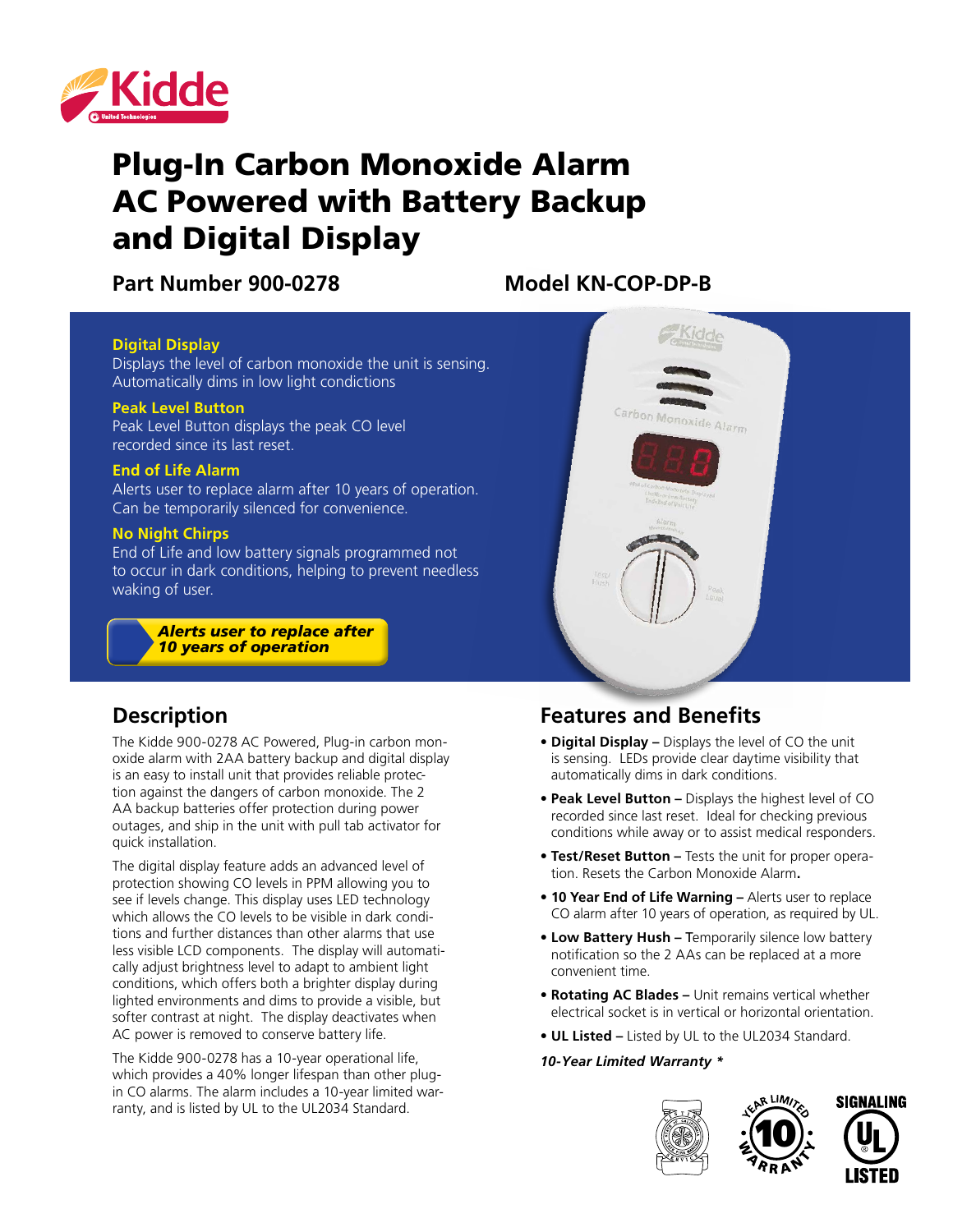

# Plug-In Carbon Monoxide Alarm AC Powered with Battery Backup and Digital Display

Part Number 900-0278 Model KN-COP-DP-B

#### **Digital Display**

Displays the level of carbon monoxide the unit is sensing. Automatically dims in low light condictions

#### **Peak Level Button**

Peak Level Button displays the peak CO level recorded since its last reset.

### **End of Life Alarm**

Alerts user to replace alarm after 10 years of operation. Can be temporarily silenced for convenience.

#### **No Night Chirps**

End of Life and low battery signals programmed not to occur in dark conditions, helping to prevent needless waking of user.

> *Alerts user to replace after 10 years of operation*

# Carbon Monoxide

## **Description**

The Kidde 900-0278 AC Powered, Plug-in carbon monoxide alarm with 2AA battery backup and digital display is an easy to install unit that provides reliable protection against the dangers of carbon monoxide. The 2 AA backup batteries offer protection during power outages, and ship in the unit with pull tab activator for quick installation.

The digital display feature adds an advanced level of protection showing CO levels in PPM allowing you to see if levels change. This display uses LED technology which allows the CO levels to be visible in dark conditions and further distances than other alarms that use less visible LCD components. The display will automatically adjust brightness level to adapt to ambient light conditions, which offers both a brighter display during lighted environments and dims to provide a visible, but softer contrast at night. The display deactivates when AC power is removed to conserve battery life.

The Kidde 900-0278 has a 10-year operational life, which provides a 40% longer lifespan than other plugin CO alarms. The alarm includes a 10-year limited warranty, and is listed by UL to the UL2034 Standard.

# **Features and Benefits**

- **• Digital Display** Displays the level of CO the unit is sensing. LEDs provide clear daytime visibility that automatically dims in dark conditions.
- **• Peak Level Button** Displays the highest level of CO recorded since last reset. Ideal for checking previous conditions while away or to assist medical responders.
- **• Test/Reset Button** Tests the unit for proper operation. Resets the Carbon Monoxide Alarm**.**
- **• 10 Year End of Life Warning** Alerts user to replace CO alarm after 10 years of operation, as required by UL.
- **• Low Battery Hush** Temporarily silence low battery notification so the 2 AAs can be replaced at a more convenient time.
- **• Rotating AC Blades** Unit remains vertical whether electrical socket is in vertical or horizontal orientation.
- **• UL Listed** Listed by UL to the UL2034 Standard.

#### *10-Year Limited Warranty \**





10